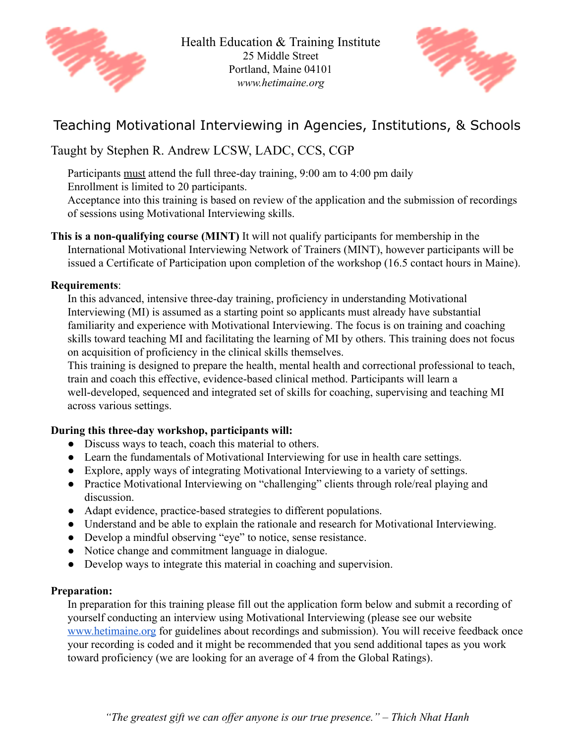



## Teaching Motivational Interviewing in Agencies, Institutions, & Schools

### Taught by Stephen R. Andrew LCSW, LADC, CCS, CGP

Participants must attend the full three-day training, 9:00 am to 4:00 pm daily

Enrollment is limited to 20 participants.

Acceptance into this training is based on review of the application and the submission of recordings of sessions using Motivational Interviewing skills.

**This is a non-qualifying course (MINT)** It will not qualify participants for membership in the International Motivational Interviewing Network of Trainers (MINT), however participants will be issued a Certificate of Participation upon completion of the workshop (16.5 contact hours in Maine).

#### **Requirements** :

In this advanced, intensive three-day training, proficiency in understanding Motivational Interviewing (MI) is assumed as a starting point so applicants must already have substantial familiarity and experience with Motivational Interviewing. The focus is on training and coaching skills toward teaching MI and facilitating the learning of MI by others. This training does not focus on acquisition of proficiency in the clinical skills themselves.

This training is designed to prepare the health, mental health and correctional professional to teach, train and coach this effective, evidence-based clinical method. Participants will learn a well-developed, sequenced and integrated set of skills for coaching, supervising and teaching MI across various settings.

#### **During this three-day workshop, participants will:**

- Discuss ways to teach, coach this material to others.
- Learn the fundamentals of Motivational Interviewing for use in health care settings.
- Explore, apply ways of integrating Motivational Interviewing to a variety of settings.
- Practice Motivational Interviewing on "challenging" clients through role/real playing and discussion.
- Adapt evidence, practice-based strategies to different populations.
- Understand and be able to explain the rationale and research for Motivational Interviewing.
- Develop a mindful observing "eye" to notice, sense resistance.
- Notice change and commitment language in dialogue.
- Develop ways to integrate this material in coaching and supervision.

#### **Preparation:**

In preparation for this training please fill out the application form below and submit a recording of yourself conducting an interview using Motivational Interviewing (please see our website [www.hetimaine.org](http://www.hetimaine.org/) for guidelines about recordings and submission). You will receive feedback once your recording is coded and it might be recommended that you send additional tapes as you work toward proficiency (we are looking for an average of 4 from the Global Ratings).